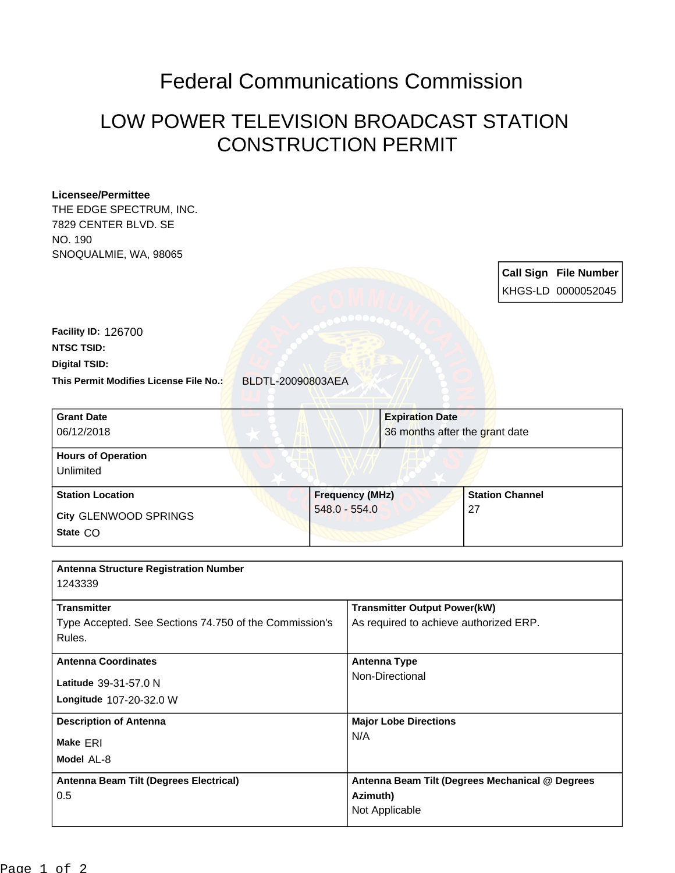## Federal Communications Commission

## LOW POWER TELEVISION BROADCAST STATION CONSTRUCTION PERMIT

## **Licensee/Permittee**

THE EDGE SPECTRUM, INC. 7829 CENTER BLVD. SE NO. 190 SNOQUALMIE, WA, 98065

> **Call Sign File Number** KHGS-LD 0000052045

**This Permit Modifies License File No.:** BLDTL-20090803AEA **Digital TSID: NTSC TSID: Facility ID:** 126700

| <b>Grant Date</b><br>06/12/2018        |                        | <b>Expiration Date</b><br>36 months after the grant date |  |
|----------------------------------------|------------------------|----------------------------------------------------------|--|
| <b>Hours of Operation</b><br>Unlimited |                        |                                                          |  |
| <b>Station Location</b>                | <b>Frequency (MHz)</b> | <b>Station Channel</b>                                   |  |
| City GLENWOOD SPRINGS<br>State CO      | $548.0 - 554.0$        | 27                                                       |  |

| <b>Antenna Structure Registration Number</b>           |                                                 |
|--------------------------------------------------------|-------------------------------------------------|
| 1243339                                                |                                                 |
|                                                        |                                                 |
| <b>Transmitter</b>                                     | <b>Transmitter Output Power(kW)</b>             |
| Type Accepted. See Sections 74.750 of the Commission's | As required to achieve authorized ERP.          |
| Rules.                                                 |                                                 |
|                                                        |                                                 |
| <b>Antenna Coordinates</b>                             | <b>Antenna Type</b>                             |
| Latitude 39-31-57.0 N                                  | Non-Directional                                 |
|                                                        |                                                 |
| Longitude 107-20-32.0 W                                |                                                 |
| <b>Description of Antenna</b>                          | <b>Major Lobe Directions</b>                    |
|                                                        | N/A                                             |
| Make ERI                                               |                                                 |
| Model AL-8                                             |                                                 |
| Antenna Beam Tilt (Degrees Electrical)                 | Antenna Beam Tilt (Degrees Mechanical @ Degrees |
|                                                        |                                                 |
| 0.5                                                    | Azimuth)                                        |
|                                                        | Not Applicable                                  |
|                                                        |                                                 |